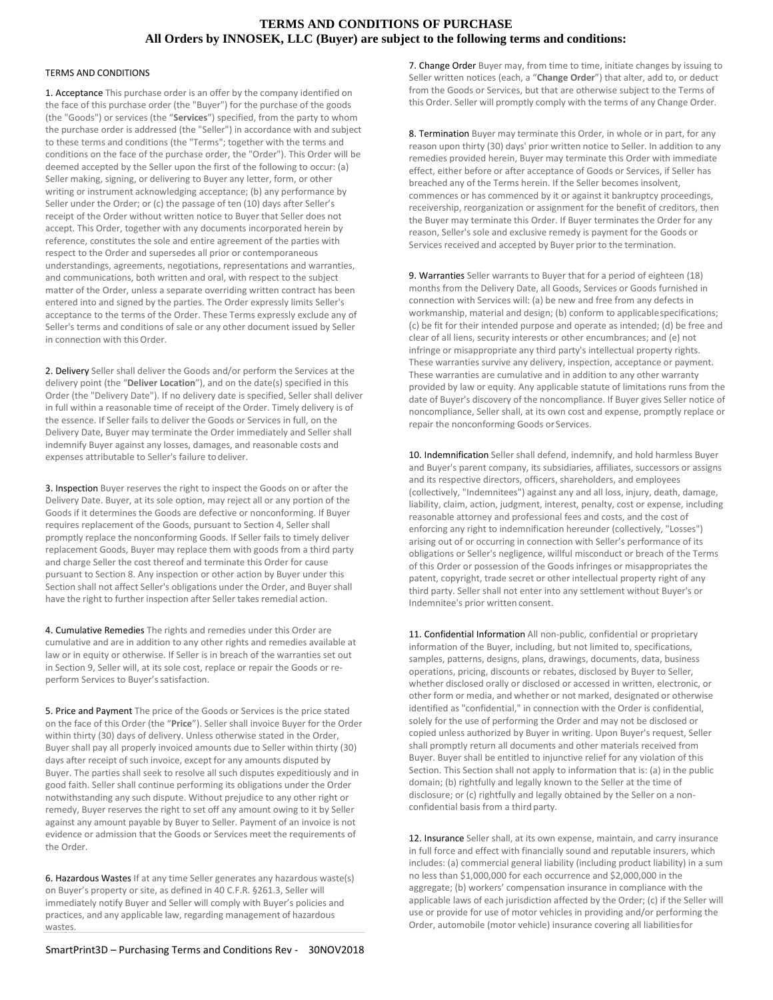## **TERMS AND CONDITIONS OF PURCHASE All Orders by INNOSEK, LLC (Buyer) are subject to the following terms and conditions:**

## TERMS AND CONDITIONS

1. Acceptance This purchase order is an offer by the company identified on the face of this purchase order (the "Buyer") for the purchase of the goods (the "Goods") or services (the "**Services**") specified, from the party to whom the purchase order is addressed (the "Seller") in accordance with and subject to these terms and conditions (the "Terms"; together with the terms and conditions on the face of the purchase order, the "Order"). This Order will be deemed accepted by the Seller upon the first of the following to occur: (a) Seller making, signing, or delivering to Buyer any letter, form, or other writing or instrument acknowledging acceptance; (b) any performance by Seller under the Order; or (c) the passage of ten (10) days after Seller's receipt of the Order without written notice to Buyer that Seller does not accept. This Order, together with any documents incorporated herein by reference, constitutes the sole and entire agreement of the parties with respect to the Order and supersedes all prior or contemporaneous understandings, agreements, negotiations, representations and warranties, and communications, both written and oral, with respect to the subject matter of the Order, unless a separate overriding written contract has been entered into and signed by the parties. The Order expressly limits Seller's acceptance to the terms of the Order. These Terms expressly exclude any of Seller's terms and conditions of sale or any other document issued by Seller in connection with this Order.

2. Delivery Seller shall deliver the Goods and/or perform the Services at the delivery point (the "**Deliver Location**"), and on the date(s) specified in this Order (the "Delivery Date"). If no delivery date is specified, Seller shall deliver in full within a reasonable time of receipt of the Order. Timely delivery is of the essence. If Seller fails to deliver the Goods or Services in full, on the Delivery Date, Buyer may terminate the Order immediately and Seller shall indemnify Buyer against any losses, damages, and reasonable costs and expenses attributable to Seller's failure to deliver.

3. Inspection Buyer reserves the right to inspect the Goods on or after the Delivery Date. Buyer, at its sole option, may reject all or any portion of the Goods if it determines the Goods are defective or nonconforming. If Buyer requires replacement of the Goods, pursuant to Section 4, Seller shall promptly replace the nonconforming Goods. If Seller fails to timely deliver replacement Goods, Buyer may replace them with goods from a third party and charge Seller the cost thereof and terminate this Order for cause pursuant to Section 8. Any inspection or other action by Buyer under this Section shall not affect Seller's obligations under the Order, and Buyer shall have the right to further inspection after Seller takes remedial action.

4. Cumulative Remedies The rights and remedies under this Order are cumulative and are in addition to any other rights and remedies available at law or in equity or otherwise. If Seller is in breach of the warranties set out in Section 9, Seller will, at its sole cost, replace or repair the Goods or reperform Services to Buyer's satisfaction.

5. Price and Payment The price of the Goods or Services is the price stated on the face of this Order (the "**Price**"). Seller shall invoice Buyer for the Order within thirty (30) days of delivery. Unless otherwise stated in the Order, Buyer shall pay all properly invoiced amounts due to Seller within thirty (30) days after receipt of such invoice, except for any amounts disputed by Buyer. The parties shall seek to resolve all such disputes expeditiously and in good faith. Seller shall continue performing its obligations under the Order notwithstanding any such dispute. Without prejudice to any other right or remedy, Buyer reserves the right to set off any amount owing to it by Seller against any amount payable by Buyer to Seller. Payment of an invoice is not evidence or admission that the Goods or Services meet the requirements of the Order.

6. Hazardous Wastes If at any time Seller generates any hazardous waste(s) on Buyer's property or site, as defined in 40 C.F.R. §261.3, Seller will immediately notify Buyer and Seller will comply with Buyer's policies and practices, and any applicable law, regarding management of hazardous wastes.

7. Change Order Buyer may, from time to time, initiate changes by issuing to Seller written notices (each, a "**Change Order**") that alter, add to, or deduct from the Goods or Services, but that are otherwise subject to the Terms of this Order. Seller will promptly comply with the terms of any Change Order.

8. Termination Buyer may terminate this Order, in whole or in part, for any reason upon thirty (30) days' prior written notice to Seller. In addition to any remedies provided herein, Buyer may terminate this Order with immediate effect, either before or after acceptance of Goods or Services, if Seller has breached any of the Terms herein. If the Seller becomes insolvent, commences or has commenced by it or against it bankruptcy proceedings, receivership, reorganization or assignment for the benefit of creditors, then the Buyer may terminate this Order. If Buyer terminates the Order for any reason, Seller's sole and exclusive remedy is payment for the Goods or Services received and accepted by Buyer prior to the termination.

9. Warranties Seller warrants to Buyer that for a period of eighteen (18) months from the Delivery Date, all Goods, Services or Goods furnished in connection with Services will: (a) be new and free from any defects in workmanship, material and design; (b) conform to applicablespecifications; (c) be fit for their intended purpose and operate as intended; (d) be free and clear of all liens, security interests or other encumbrances; and (e) not infringe or misappropriate any third party's intellectual property rights. These warranties survive any delivery, inspection, acceptance or payment. These warranties are cumulative and in addition to any other warranty provided by law or equity. Any applicable statute of limitations runs from the date of Buyer's discovery of the noncompliance. If Buyer gives Seller notice of noncompliance, Seller shall, at its own cost and expense, promptly replace or repair the nonconforming Goods or Services.

10. Indemnification Seller shall defend, indemnify, and hold harmless Buyer and Buyer's parent company, its subsidiaries, affiliates, successors or assigns and its respective directors, officers, shareholders, and employees (collectively, "Indemnitees") against any and all loss, injury, death, damage, liability, claim, action, judgment, interest, penalty, cost or expense, including reasonable attorney and professional fees and costs, and the cost of enforcing any right to indemnification hereunder (collectively, "Losses") arising out of or occurring in connection with Seller's performance of its obligations or Seller's negligence, willful misconduct or breach of the Terms of this Order or possession of the Goods infringes or misappropriates the patent, copyright, trade secret or other intellectual property right of any third party. Seller shall not enter into any settlement without Buyer's or Indemnitee's prior written consent.

11. Confidential Information All non-public, confidential or proprietary information of the Buyer, including, but not limited to, specifications, samples, patterns, designs, plans, drawings, documents, data, business operations, pricing, discounts or rebates, disclosed by Buyer to Seller, whether disclosed orally or disclosed or accessed in written, electronic, or other form or media, and whether or not marked, designated or otherwise identified as "confidential," in connection with the Order is confidential, solely for the use of performing the Order and may not be disclosed or copied unless authorized by Buyer in writing. Upon Buyer's request, Seller shall promptly return all documents and other materials received from Buyer. Buyer shall be entitled to injunctive relief for any violation of this Section. This Section shall not apply to information that is: (a) in the public domain; (b) rightfully and legally known to the Seller at the time of disclosure; or (c) rightfully and legally obtained by the Seller on a nonconfidential basis from a third party.

12. Insurance Seller shall, at its own expense, maintain, and carry insurance in full force and effect with financially sound and reputable insurers, which includes: (a) commercial general liability (including product liability) in a sum no less than \$1,000,000 for each occurrence and \$2,000,000 in the aggregate; (b) workers' compensation insurance in compliance with the applicable laws of each jurisdiction affected by the Order; (c) if the Seller will use or provide for use of motor vehicles in providing and/or performing the Order, automobile (motor vehicle) insurance covering all liabilitiesfor